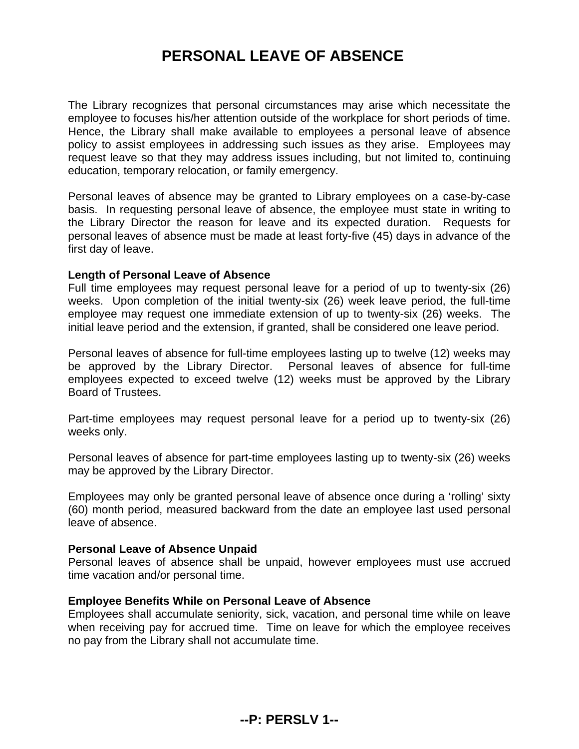# **PERSONAL LEAVE OF ABSENCE**

The Library recognizes that personal circumstances may arise which necessitate the employee to focuses his/her attention outside of the workplace for short periods of time. Hence, the Library shall make available to employees a personal leave of absence policy to assist employees in addressing such issues as they arise. Employees may request leave so that they may address issues including, but not limited to, continuing education, temporary relocation, or family emergency.

Personal leaves of absence may be granted to Library employees on a case-by-case basis. In requesting personal leave of absence, the employee must state in writing to the Library Director the reason for leave and its expected duration. Requests for personal leaves of absence must be made at least forty-five (45) days in advance of the first day of leave.

## **Length of Personal Leave of Absence**

Full time employees may request personal leave for a period of up to twenty-six (26) weeks. Upon completion of the initial twenty-six (26) week leave period, the full-time employee may request one immediate extension of up to twenty-six (26) weeks. The initial leave period and the extension, if granted, shall be considered one leave period.

Personal leaves of absence for full-time employees lasting up to twelve (12) weeks may be approved by the Library Director. Personal leaves of absence for full-time employees expected to exceed twelve (12) weeks must be approved by the Library Board of Trustees.

Part-time employees may request personal leave for a period up to twenty-six (26) weeks only.

Personal leaves of absence for part-time employees lasting up to twenty-six (26) weeks may be approved by the Library Director.

Employees may only be granted personal leave of absence once during a 'rolling' sixty (60) month period, measured backward from the date an employee last used personal leave of absence.

#### **Personal Leave of Absence Unpaid**

Personal leaves of absence shall be unpaid, however employees must use accrued time vacation and/or personal time.

# **Employee Benefits While on Personal Leave of Absence**

Employees shall accumulate seniority, sick, vacation, and personal time while on leave when receiving pay for accrued time. Time on leave for which the employee receives no pay from the Library shall not accumulate time.